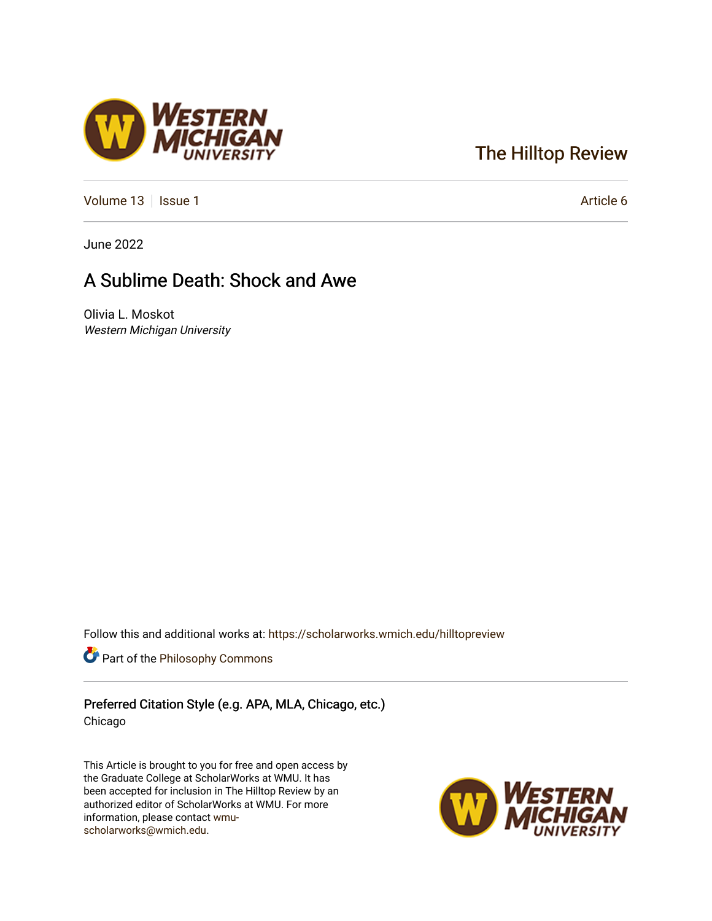## [The Hilltop Review](https://scholarworks.wmich.edu/hilltopreview)

[Volume 13](https://scholarworks.wmich.edu/hilltopreview/vol13) | [Issue 1](https://scholarworks.wmich.edu/hilltopreview/vol13/iss1) Article 6

June 2022

## A Sublime Death: Shock and Awe

Olivia L. Moskot Western Michigan University

Follow this and additional works at: [https://scholarworks.wmich.edu/hilltopreview](https://scholarworks.wmich.edu/hilltopreview?utm_source=scholarworks.wmich.edu%2Fhilltopreview%2Fvol13%2Fiss1%2F6&utm_medium=PDF&utm_campaign=PDFCoverPages)

Part of the [Philosophy Commons](https://network.bepress.com/hgg/discipline/525?utm_source=scholarworks.wmich.edu%2Fhilltopreview%2Fvol13%2Fiss1%2F6&utm_medium=PDF&utm_campaign=PDFCoverPages) 

Preferred Citation Style (e.g. APA, MLA, Chicago, etc.) Chicago

This Article is brought to you for free and open access by the Graduate College at ScholarWorks at WMU. It has been accepted for inclusion in The Hilltop Review by an authorized editor of ScholarWorks at WMU. For more information, please contact [wmu](mailto:wmu-scholarworks@wmich.edu)[scholarworks@wmich.edu.](mailto:wmu-scholarworks@wmich.edu)



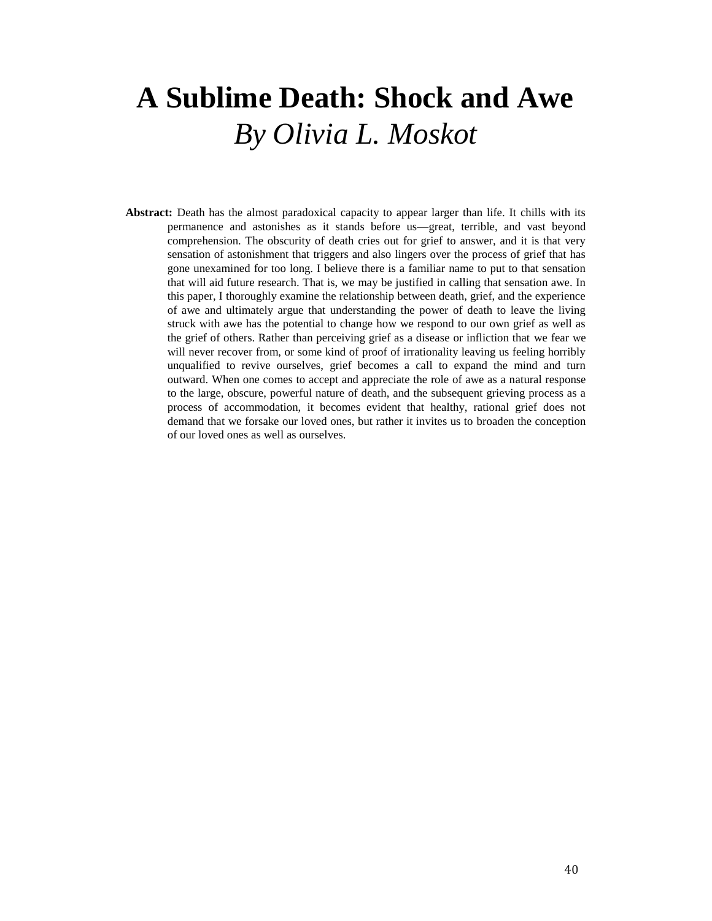## **A Sublime Death: Shock and Awe** *By Olivia L. Moskot*

**Abstract:** Death has the almost paradoxical capacity to appear larger than life. It chills with its permanence and astonishes as it stands before us—great, terrible, and vast beyond comprehension. The obscurity of death cries out for grief to answer, and it is that very sensation of astonishment that triggers and also lingers over the process of grief that has gone unexamined for too long. I believe there is a familiar name to put to that sensation that will aid future research. That is, we may be justified in calling that sensation awe. In this paper, I thoroughly examine the relationship between death, grief, and the experience of awe and ultimately argue that understanding the power of death to leave the living struck with awe has the potential to change how we respond to our own grief as well as the grief of others. Rather than perceiving grief as a disease or infliction that we fear we will never recover from, or some kind of proof of irrationality leaving us feeling horribly unqualified to revive ourselves, grief becomes a call to expand the mind and turn outward. When one comes to accept and appreciate the role of awe as a natural response to the large, obscure, powerful nature of death, and the subsequent grieving process as a process of accommodation, it becomes evident that healthy, rational grief does not demand that we forsake our loved ones, but rather it invites us to broaden the conception of our loved ones as well as ourselves.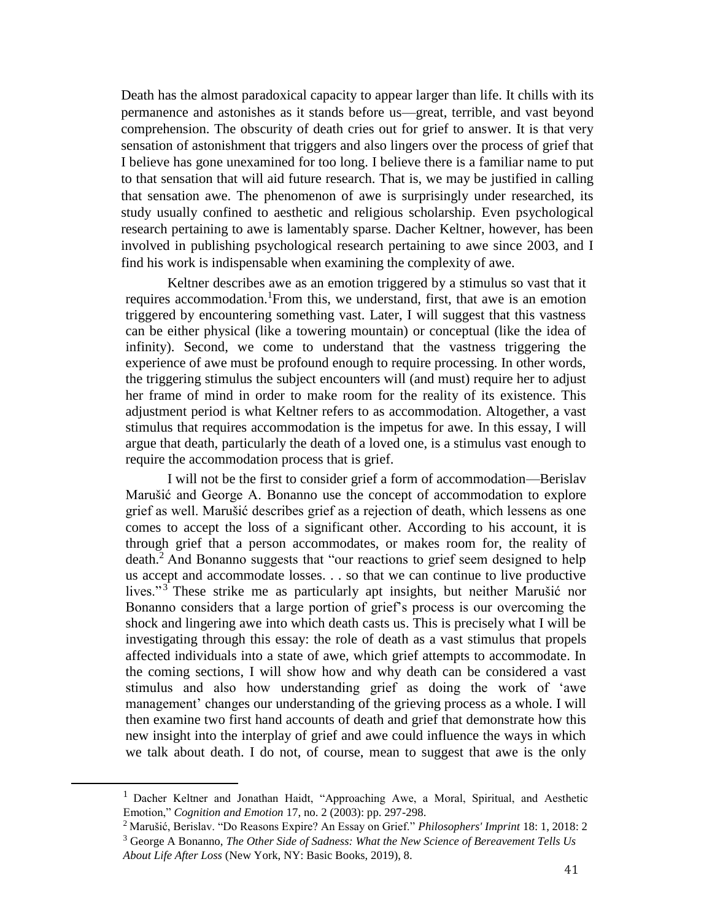Death has the almost paradoxical capacity to appear larger than life. It chills with its permanence and astonishes as it stands before us—great, terrible, and vast beyond comprehension. The obscurity of death cries out for grief to answer. It is that very sensation of astonishment that triggers and also lingers over the process of grief that I believe has gone unexamined for too long. I believe there is a familiar name to put to that sensation that will aid future research. That is, we may be justified in calling that sensation awe. The phenomenon of awe is surprisingly under researched, its study usually confined to aesthetic and religious scholarship. Even psychological research pertaining to awe is lamentably sparse. Dacher Keltner, however, has been involved in publishing psychological research pertaining to awe since 2003, and I find his work is indispensable when examining the complexity of awe.

Keltner describes awe as an emotion triggered by a stimulus so vast that it requires accommodation. From this, we understand, first, that awe is an emotion triggered by encountering something vast. Later, I will suggest that this vastness can be either physical (like a towering mountain) or conceptual (like the idea of infinity). Second, we come to understand that the vastness triggering the experience of awe must be profound enough to require processing. In other words, the triggering stimulus the subject encounters will (and must) require her to adjust her frame of mind in order to make room for the reality of its existence. This adjustment period is what Keltner refers to as accommodation. Altogether, a vast stimulus that requires accommodation is the impetus for awe. In this essay, I will argue that death, particularly the death of a loved one, is a stimulus vast enough to require the accommodation process that is grief.

I will not be the first to consider grief a form of accommodation—Berislav Marušić and George A. Bonanno use the concept of accommodation to explore grief as well. Marušić describes grief as a rejection of death, which lessens as one comes to accept the loss of a significant other. According to his account, it is through grief that a person accommodates, or makes room for, the reality of death.<sup>2</sup> And Bonanno suggests that "our reactions to grief seem designed to help us accept and accommodate losses. . . so that we can continue to live productive lives."<sup>3</sup> These strike me as particularly apt insights, but neither Marušić nor Bonanno considers that a large portion of grief's process is our overcoming the shock and lingering awe into which death casts us. This is precisely what I will be investigating through this essay: the role of death as a vast stimulus that propels affected individuals into a state of awe, which grief attempts to accommodate. In the coming sections, I will show how and why death can be considered a vast stimulus and also how understanding grief as doing the work of 'awe management' changes our understanding of the grieving process as a whole. I will then examine two first hand accounts of death and grief that demonstrate how this new insight into the interplay of grief and awe could influence the ways in which we talk about death. I do not, of course, mean to suggest that awe is the only

 $\overline{a}$ 

<sup>&</sup>lt;sup>1</sup> Dacher Keltner and Jonathan Haidt, "Approaching Awe, a Moral, Spiritual, and Aesthetic Emotion," *Cognition and Emotion* 17, no. 2 (2003): pp. 297-298.

<sup>2</sup> Marušić, Berislav. "Do Reasons Expire? An Essay on Grief." *Philosophers' Imprint* 18: 1, 2018: 2

<sup>3</sup> George A Bonanno, *The Other Side of Sadness: What the New Science of Bereavement Tells Us About Life After Loss* (New York, NY: Basic Books, 2019), 8.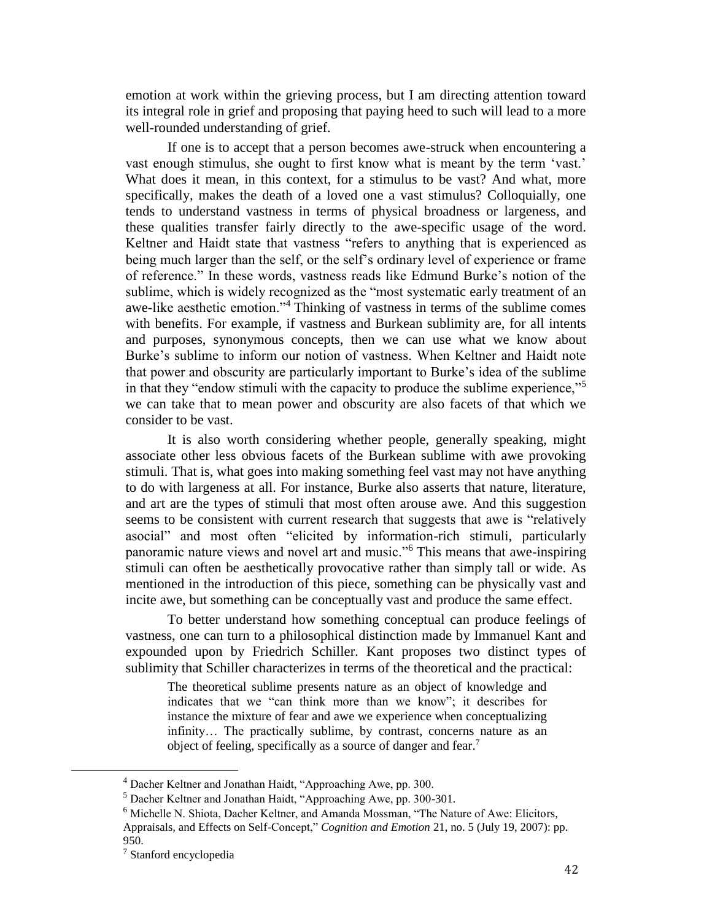emotion at work within the grieving process, but I am directing attention toward its integral role in grief and proposing that paying heed to such will lead to a more well-rounded understanding of grief.

If one is to accept that a person becomes awe-struck when encountering a vast enough stimulus, she ought to first know what is meant by the term 'vast.' What does it mean, in this context, for a stimulus to be vast? And what, more specifically, makes the death of a loved one a vast stimulus? Colloquially, one tends to understand vastness in terms of physical broadness or largeness, and these qualities transfer fairly directly to the awe-specific usage of the word. Keltner and Haidt state that vastness "refers to anything that is experienced as being much larger than the self, or the self's ordinary level of experience or frame of reference." In these words, vastness reads like Edmund Burke's notion of the sublime, which is widely recognized as the "most systematic early treatment of an awe-like aesthetic emotion."<sup>4</sup> Thinking of vastness in terms of the sublime comes with benefits. For example, if vastness and Burkean sublimity are, for all intents and purposes, synonymous concepts, then we can use what we know about Burke's sublime to inform our notion of vastness. When Keltner and Haidt note that power and obscurity are particularly important to Burke's idea of the sublime in that they "endow stimuli with the capacity to produce the sublime experience,"<sup>5</sup> we can take that to mean power and obscurity are also facets of that which we consider to be vast.

It is also worth considering whether people, generally speaking, might associate other less obvious facets of the Burkean sublime with awe provoking stimuli. That is, what goes into making something feel vast may not have anything to do with largeness at all. For instance, Burke also asserts that nature, literature, and art are the types of stimuli that most often arouse awe. And this suggestion seems to be consistent with current research that suggests that awe is "relatively asocial" and most often "elicited by information-rich stimuli, particularly panoramic nature views and novel art and music."<sup>6</sup> This means that awe-inspiring stimuli can often be aesthetically provocative rather than simply tall or wide. As mentioned in the introduction of this piece, something can be physically vast and incite awe, but something can be conceptually vast and produce the same effect.

To better understand how something conceptual can produce feelings of vastness, one can turn to a philosophical distinction made by Immanuel Kant and expounded upon by Friedrich Schiller. Kant proposes two distinct types of sublimity that Schiller characterizes in terms of the theoretical and the practical:

The theoretical sublime presents nature as an object of knowledge and indicates that we "can think more than we know"; it describes for instance the mixture of fear and awe we experience when conceptualizing infinity… The practically sublime, by contrast, concerns nature as an object of feeling, specifically as a source of danger and fear.<sup>7</sup>

<sup>4</sup> Dacher Keltner and Jonathan Haidt, "Approaching Awe, pp. 300.

<sup>5</sup> Dacher Keltner and Jonathan Haidt, "Approaching Awe, pp. 300-301.

<sup>6</sup> Michelle N. Shiota, Dacher Keltner, and Amanda Mossman, "The Nature of Awe: Elicitors, Appraisals, and Effects on Self-Concept," *Cognition and Emotion* 21, no. 5 (July 19, 2007): pp. 950.

<sup>7</sup> Stanford encyclopedia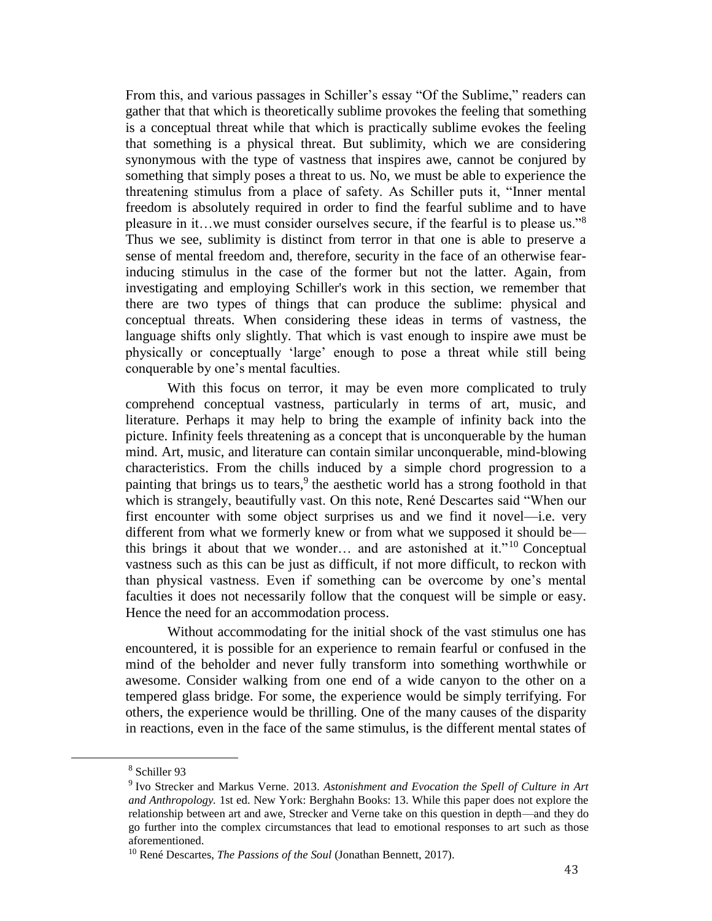From this, and various passages in Schiller's essay "Of the Sublime," readers can gather that that which is theoretically sublime provokes the feeling that something is a conceptual threat while that which is practically sublime evokes the feeling that something is a physical threat. But sublimity, which we are considering synonymous with the type of vastness that inspires awe, cannot be conjured by something that simply poses a threat to us. No, we must be able to experience the threatening stimulus from a place of safety. As Schiller puts it, "Inner mental freedom is absolutely required in order to find the fearful sublime and to have pleasure in it…we must consider ourselves secure, if the fearful is to please us."<sup>8</sup> Thus we see, sublimity is distinct from terror in that one is able to preserve a sense of mental freedom and, therefore, security in the face of an otherwise fearinducing stimulus in the case of the former but not the latter. Again, from investigating and employing Schiller's work in this section, we remember that there are two types of things that can produce the sublime: physical and conceptual threats. When considering these ideas in terms of vastness, the language shifts only slightly. That which is vast enough to inspire awe must be physically or conceptually 'large' enough to pose a threat while still being conquerable by one's mental faculties.

With this focus on terror, it may be even more complicated to truly comprehend conceptual vastness, particularly in terms of art, music, and literature. Perhaps it may help to bring the example of infinity back into the picture. Infinity feels threatening as a concept that is unconquerable by the human mind. Art, music, and literature can contain similar unconquerable, mind-blowing characteristics. From the chills induced by a simple chord progression to a painting that brings us to tears,<sup>9</sup> the aesthetic world has a strong foothold in that which is strangely, beautifully vast. On this note, René Descartes said "When our first encounter with some object surprises us and we find it novel—i.e. very different from what we formerly knew or from what we supposed it should be this brings it about that we wonder... and are astonished at it."<sup>10</sup> Conceptual vastness such as this can be just as difficult, if not more difficult, to reckon with than physical vastness. Even if something can be overcome by one's mental faculties it does not necessarily follow that the conquest will be simple or easy. Hence the need for an accommodation process.

Without accommodating for the initial shock of the vast stimulus one has encountered, it is possible for an experience to remain fearful or confused in the mind of the beholder and never fully transform into something worthwhile or awesome. Consider walking from one end of a wide canyon to the other on a tempered glass bridge. For some, the experience would be simply terrifying. For others, the experience would be thrilling. One of the many causes of the disparity in reactions, even in the face of the same stimulus, is the different mental states of

<sup>8</sup> Schiller 93

<sup>9</sup> Ivo Strecker and Markus Verne. 2013. *Astonishment and Evocation the Spell of Culture in Art and Anthropology.* 1st ed. New York: Berghahn Books: 13. While this paper does not explore the relationship between art and awe, Strecker and Verne take on this question in depth—and they do go further into the complex circumstances that lead to emotional responses to art such as those aforementioned.

<sup>10</sup> René Descartes, *The Passions of the Soul* (Jonathan Bennett, 2017).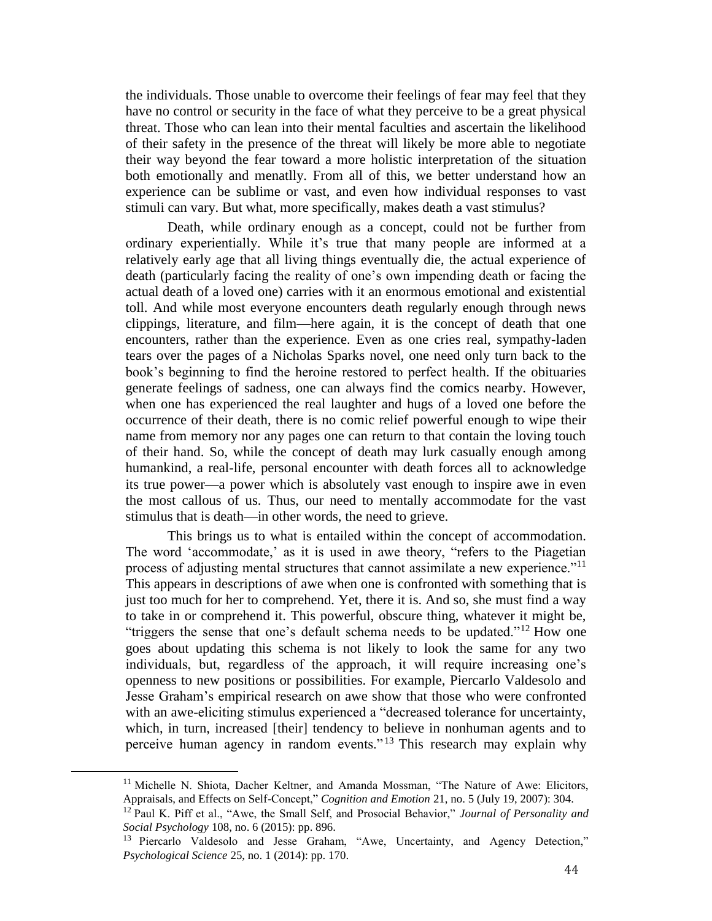the individuals. Those unable to overcome their feelings of fear may feel that they have no control or security in the face of what they perceive to be a great physical threat. Those who can lean into their mental faculties and ascertain the likelihood of their safety in the presence of the threat will likely be more able to negotiate their way beyond the fear toward a more holistic interpretation of the situation both emotionally and menatlly. From all of this, we better understand how an experience can be sublime or vast, and even how individual responses to vast stimuli can vary. But what, more specifically, makes death a vast stimulus?

Death, while ordinary enough as a concept, could not be further from ordinary experientially. While it's true that many people are informed at a relatively early age that all living things eventually die, the actual experience of death (particularly facing the reality of one's own impending death or facing the actual death of a loved one) carries with it an enormous emotional and existential toll. And while most everyone encounters death regularly enough through news clippings, literature, and film—here again, it is the concept of death that one encounters, rather than the experience. Even as one cries real, sympathy-laden tears over the pages of a Nicholas Sparks novel, one need only turn back to the book's beginning to find the heroine restored to perfect health. If the obituaries generate feelings of sadness, one can always find the comics nearby. However, when one has experienced the real laughter and hugs of a loved one before the occurrence of their death, there is no comic relief powerful enough to wipe their name from memory nor any pages one can return to that contain the loving touch of their hand. So, while the concept of death may lurk casually enough among humankind, a real-life, personal encounter with death forces all to acknowledge its true power—a power which is absolutely vast enough to inspire awe in even the most callous of us. Thus, our need to mentally accommodate for the vast stimulus that is death—in other words, the need to grieve.

This brings us to what is entailed within the concept of accommodation. The word 'accommodate,' as it is used in awe theory, "refers to the Piagetian process of adjusting mental structures that cannot assimilate a new experience."<sup>11</sup> This appears in descriptions of awe when one is confronted with something that is just too much for her to comprehend. Yet, there it is. And so, she must find a way to take in or comprehend it. This powerful, obscure thing, whatever it might be, "triggers the sense that one's default schema needs to be updated."<sup>12</sup> How one goes about updating this schema is not likely to look the same for any two individuals, but, regardless of the approach, it will require increasing one's openness to new positions or possibilities. For example, Piercarlo Valdesolo and Jesse Graham's empirical research on awe show that those who were confronted with an awe-eliciting stimulus experienced a "decreased tolerance for uncertainty, which, in turn, increased [their] tendency to believe in nonhuman agents and to perceive human agency in random events." <sup>13</sup> This research may explain why

<sup>&</sup>lt;sup>11</sup> Michelle N. Shiota, Dacher Keltner, and Amanda Mossman, "The Nature of Awe: Elicitors, Appraisals, and Effects on Self-Concept," *Cognition and Emotion* 21, no. 5 (July 19, 2007): 304.

<sup>12</sup> Paul K. Piff et al., "Awe, the Small Self, and Prosocial Behavior," *Journal of Personality and Social Psychology* 108, no. 6 (2015): pp. 896.

<sup>&</sup>lt;sup>13</sup> Piercarlo Valdesolo and Jesse Graham, "Awe, Uncertainty, and Agency Detection," *Psychological Science* 25, no. 1 (2014): pp. 170.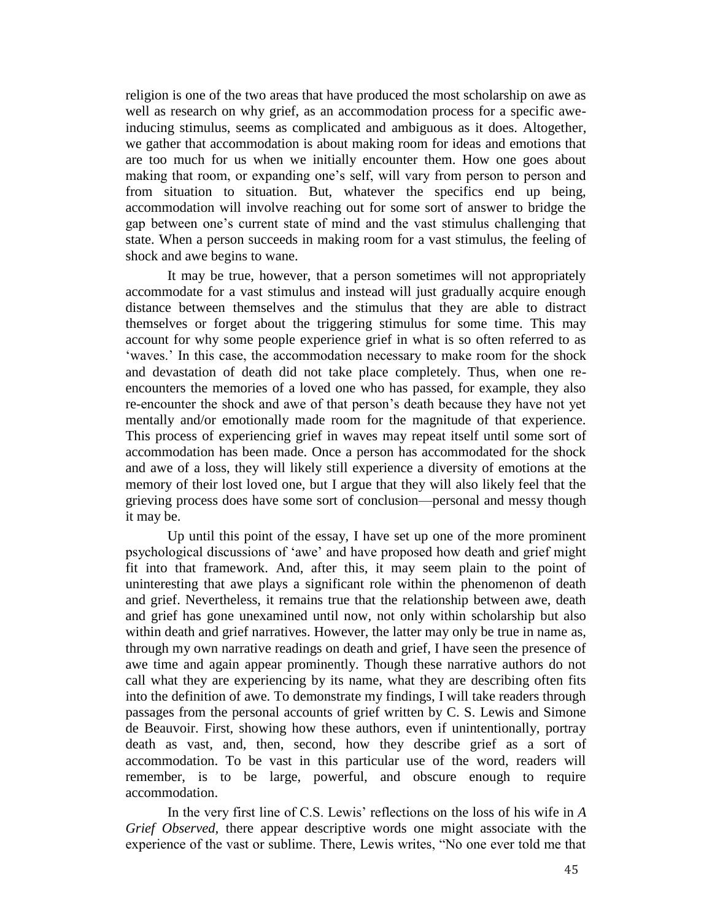religion is one of the two areas that have produced the most scholarship on awe as well as research on why grief, as an accommodation process for a specific aweinducing stimulus, seems as complicated and ambiguous as it does. Altogether, we gather that accommodation is about making room for ideas and emotions that are too much for us when we initially encounter them. How one goes about making that room, or expanding one's self, will vary from person to person and from situation to situation. But, whatever the specifics end up being, accommodation will involve reaching out for some sort of answer to bridge the gap between one's current state of mind and the vast stimulus challenging that state. When a person succeeds in making room for a vast stimulus, the feeling of shock and awe begins to wane.

It may be true, however, that a person sometimes will not appropriately accommodate for a vast stimulus and instead will just gradually acquire enough distance between themselves and the stimulus that they are able to distract themselves or forget about the triggering stimulus for some time. This may account for why some people experience grief in what is so often referred to as 'waves.' In this case, the accommodation necessary to make room for the shock and devastation of death did not take place completely. Thus, when one reencounters the memories of a loved one who has passed, for example, they also re-encounter the shock and awe of that person's death because they have not yet mentally and/or emotionally made room for the magnitude of that experience. This process of experiencing grief in waves may repeat itself until some sort of accommodation has been made. Once a person has accommodated for the shock and awe of a loss, they will likely still experience a diversity of emotions at the memory of their lost loved one, but I argue that they will also likely feel that the grieving process does have some sort of conclusion—personal and messy though it may be.

Up until this point of the essay, I have set up one of the more prominent psychological discussions of 'awe' and have proposed how death and grief might fit into that framework. And, after this, it may seem plain to the point of uninteresting that awe plays a significant role within the phenomenon of death and grief. Nevertheless, it remains true that the relationship between awe, death and grief has gone unexamined until now, not only within scholarship but also within death and grief narratives. However, the latter may only be true in name as, through my own narrative readings on death and grief, I have seen the presence of awe time and again appear prominently. Though these narrative authors do not call what they are experiencing by its name, what they are describing often fits into the definition of awe. To demonstrate my findings, I will take readers through passages from the personal accounts of grief written by C. S. Lewis and Simone de Beauvoir. First, showing how these authors, even if unintentionally, portray death as vast, and, then, second, how they describe grief as a sort of accommodation. To be vast in this particular use of the word, readers will remember, is to be large, powerful, and obscure enough to require accommodation.

In the very first line of C.S. Lewis' reflections on the loss of his wife in *A Grief Observed,* there appear descriptive words one might associate with the experience of the vast or sublime. There, Lewis writes, "No one ever told me that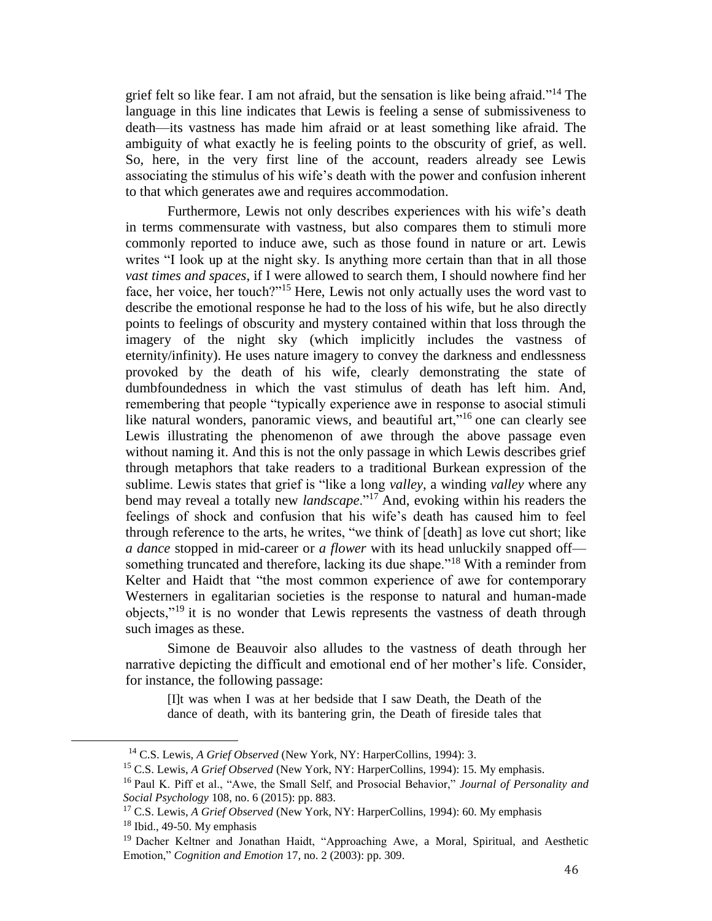grief felt so like fear. I am not afraid, but the sensation is like being afraid."<sup>14</sup> The language in this line indicates that Lewis is feeling a sense of submissiveness to death—its vastness has made him afraid or at least something like afraid. The ambiguity of what exactly he is feeling points to the obscurity of grief, as well. So, here, in the very first line of the account, readers already see Lewis associating the stimulus of his wife's death with the power and confusion inherent to that which generates awe and requires accommodation.

Furthermore, Lewis not only describes experiences with his wife's death in terms commensurate with vastness, but also compares them to stimuli more commonly reported to induce awe, such as those found in nature or art. Lewis writes "I look up at the night sky. Is anything more certain than that in all those *vast times and spaces*, if I were allowed to search them, I should nowhere find her face, her voice, her touch?"<sup>15</sup> Here, Lewis not only actually uses the word vast to describe the emotional response he had to the loss of his wife, but he also directly points to feelings of obscurity and mystery contained within that loss through the imagery of the night sky (which implicitly includes the vastness of eternity/infinity). He uses nature imagery to convey the darkness and endlessness provoked by the death of his wife, clearly demonstrating the state of dumbfoundedness in which the vast stimulus of death has left him. And, remembering that people "typically experience awe in response to asocial stimuli like natural wonders, panoramic views, and beautiful art,"<sup>16</sup> one can clearly see Lewis illustrating the phenomenon of awe through the above passage even without naming it. And this is not the only passage in which Lewis describes grief through metaphors that take readers to a traditional Burkean expression of the sublime. Lewis states that grief is "like a long *valley*, a winding *valley* where any bend may reveal a totally new *landscape*."<sup>17</sup> And, evoking within his readers the feelings of shock and confusion that his wife's death has caused him to feel through reference to the arts, he writes, "we think of [death] as love cut short; like *a dance* stopped in mid-career or *a flower* with its head unluckily snapped off something truncated and therefore, lacking its due shape."<sup>18</sup> With a reminder from Kelter and Haidt that "the most common experience of awe for contemporary Westerners in egalitarian societies is the response to natural and human-made objects,"<sup>19</sup> it is no wonder that Lewis represents the vastness of death through such images as these.

Simone de Beauvoir also alludes to the vastness of death through her narrative depicting the difficult and emotional end of her mother's life. Consider, for instance, the following passage:

[I]t was when I was at her bedside that I saw Death, the Death of the dance of death, with its bantering grin, the Death of fireside tales that

<sup>14</sup> C.S. Lewis, *A Grief Observed* (New York, NY: HarperCollins, 1994): 3.

<sup>15</sup> C.S. Lewis, *A Grief Observed* (New York, NY: HarperCollins, 1994): 15. My emphasis.

<sup>16</sup> Paul K. Piff et al., "Awe, the Small Self, and Prosocial Behavior," *Journal of Personality and Social Psychology* 108, no. 6 (2015): pp. 883.

<sup>&</sup>lt;sup>17</sup> C.S. Lewis, *A Grief Observed* (New York, NY: HarperCollins, 1994): 60. My emphasis

 $18$  Ibid., 49-50. My emphasis

<sup>&</sup>lt;sup>19</sup> Dacher Keltner and Jonathan Haidt, "Approaching Awe, a Moral, Spiritual, and Aesthetic Emotion," *Cognition and Emotion* 17, no. 2 (2003): pp. 309.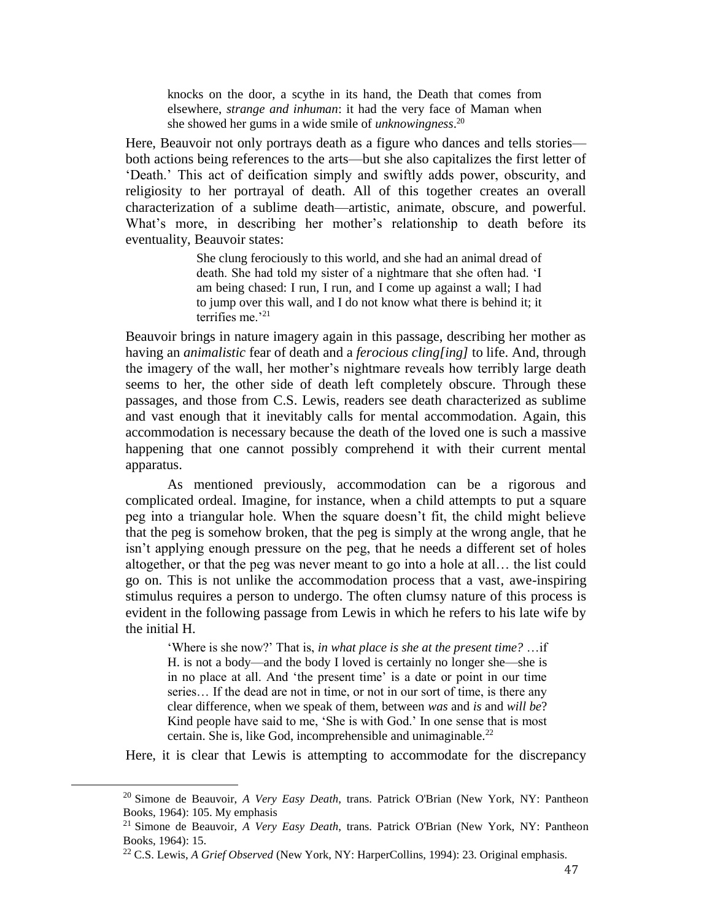knocks on the door, a scythe in its hand, the Death that comes from elsewhere, *strange and inhuman*: it had the very face of Maman when she showed her gums in a wide smile of *unknowingness*. 20

Here, Beauvoir not only portrays death as a figure who dances and tells stories both actions being references to the arts—but she also capitalizes the first letter of 'Death.' This act of deification simply and swiftly adds power, obscurity, and religiosity to her portrayal of death. All of this together creates an overall characterization of a sublime death—artistic, animate, obscure, and powerful. What's more, in describing her mother's relationship to death before its eventuality, Beauvoir states:

> She clung ferociously to this world, and she had an animal dread of death. She had told my sister of a nightmare that she often had. 'I am being chased: I run, I run, and I come up against a wall; I had to jump over this wall, and I do not know what there is behind it; it terrifies me.'<sup>21</sup>

Beauvoir brings in nature imagery again in this passage, describing her mother as having an *animalistic* fear of death and a *ferocious cling[ing]* to life. And, through the imagery of the wall, her mother's nightmare reveals how terribly large death seems to her, the other side of death left completely obscure. Through these passages, and those from C.S. Lewis, readers see death characterized as sublime and vast enough that it inevitably calls for mental accommodation. Again, this accommodation is necessary because the death of the loved one is such a massive happening that one cannot possibly comprehend it with their current mental apparatus.

As mentioned previously, accommodation can be a rigorous and complicated ordeal. Imagine, for instance, when a child attempts to put a square peg into a triangular hole. When the square doesn't fit, the child might believe that the peg is somehow broken, that the peg is simply at the wrong angle, that he isn't applying enough pressure on the peg, that he needs a different set of holes altogether, or that the peg was never meant to go into a hole at all… the list could go on. This is not unlike the accommodation process that a vast, awe-inspiring stimulus requires a person to undergo. The often clumsy nature of this process is evident in the following passage from Lewis in which he refers to his late wife by the initial H.

'Where is she now?' That is, *in what place is she at the present time?* …if H. is not a body—and the body I loved is certainly no longer she—she is in no place at all. And 'the present time' is a date or point in our time series… If the dead are not in time, or not in our sort of time, is there any clear difference, when we speak of them, between *was* and *is* and *will be*? Kind people have said to me, 'She is with God.' In one sense that is most certain. She is, like God, incomprehensible and unimaginable.<sup>22</sup>

Here, it is clear that Lewis is attempting to accommodate for the discrepancy

 $\overline{a}$ 

<sup>20</sup> Simone de Beauvoir, *A Very Easy Death*, trans. Patrick O'Brian (New York, NY: Pantheon Books, 1964): 105. My emphasis

<sup>21</sup> Simone de Beauvoir, *A Very Easy Death*, trans. Patrick O'Brian (New York, NY: Pantheon Books, 1964): 15.

<sup>22</sup> C.S. Lewis, *A Grief Observed* (New York, NY: HarperCollins, 1994): 23. Original emphasis.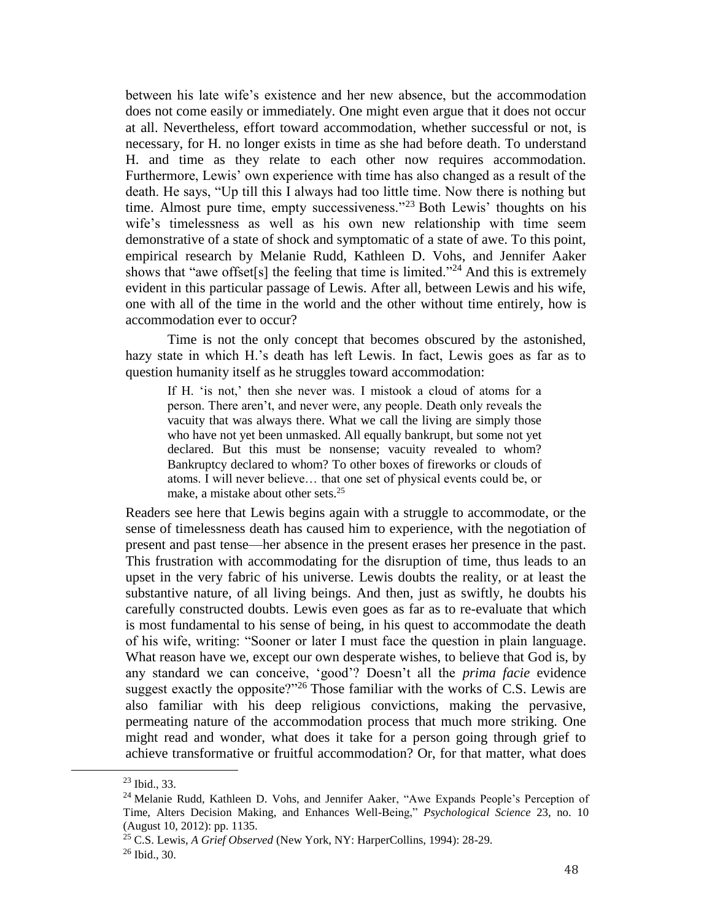between his late wife's existence and her new absence, but the accommodation does not come easily or immediately. One might even argue that it does not occur at all. Nevertheless, effort toward accommodation, whether successful or not, is necessary, for H. no longer exists in time as she had before death. To understand H. and time as they relate to each other now requires accommodation. Furthermore, Lewis' own experience with time has also changed as a result of the death. He says, "Up till this I always had too little time. Now there is nothing but time. Almost pure time, empty successiveness."<sup>23</sup> Both Lewis' thoughts on his wife's timelessness as well as his own new relationship with time seem demonstrative of a state of shock and symptomatic of a state of awe. To this point, empirical research by Melanie Rudd, Kathleen D. Vohs, and Jennifer Aaker shows that "awe offset[s] the feeling that time is limited."<sup>24</sup> And this is extremely evident in this particular passage of Lewis. After all, between Lewis and his wife, one with all of the time in the world and the other without time entirely, how is accommodation ever to occur?

Time is not the only concept that becomes obscured by the astonished, hazy state in which H.'s death has left Lewis. In fact, Lewis goes as far as to question humanity itself as he struggles toward accommodation:

If H. 'is not,' then she never was. I mistook a cloud of atoms for a person. There aren't, and never were, any people. Death only reveals the vacuity that was always there. What we call the living are simply those who have not yet been unmasked. All equally bankrupt, but some not yet declared. But this must be nonsense; vacuity revealed to whom? Bankruptcy declared to whom? To other boxes of fireworks or clouds of atoms. I will never believe… that one set of physical events could be, or make, a mistake about other sets.<sup>25</sup>

Readers see here that Lewis begins again with a struggle to accommodate, or the sense of timelessness death has caused him to experience, with the negotiation of present and past tense—her absence in the present erases her presence in the past. This frustration with accommodating for the disruption of time, thus leads to an upset in the very fabric of his universe. Lewis doubts the reality, or at least the substantive nature, of all living beings. And then, just as swiftly, he doubts his carefully constructed doubts. Lewis even goes as far as to re-evaluate that which is most fundamental to his sense of being, in his quest to accommodate the death of his wife, writing: "Sooner or later I must face the question in plain language. What reason have we, except our own desperate wishes, to believe that God is, by any standard we can conceive, 'good'? Doesn't all the *prima facie* evidence suggest exactly the opposite?"<sup>26</sup> Those familiar with the works of C.S. Lewis are also familiar with his deep religious convictions, making the pervasive, permeating nature of the accommodation process that much more striking. One might read and wonder, what does it take for a person going through grief to achieve transformative or fruitful accommodation? Or, for that matter, what does

 $^{23}$  Ibid., 33.

<sup>&</sup>lt;sup>24</sup> Melanie Rudd, Kathleen D. Vohs, and Jennifer Aaker, "Awe Expands People's Perception of Time, Alters Decision Making, and Enhances Well-Being," *Psychological Science* 23, no. 10 (August 10, 2012): pp. 1135.

<sup>25</sup> C.S. Lewis, *A Grief Observed* (New York, NY: HarperCollins, 1994): 28-29.

<sup>26</sup> Ibid., 30.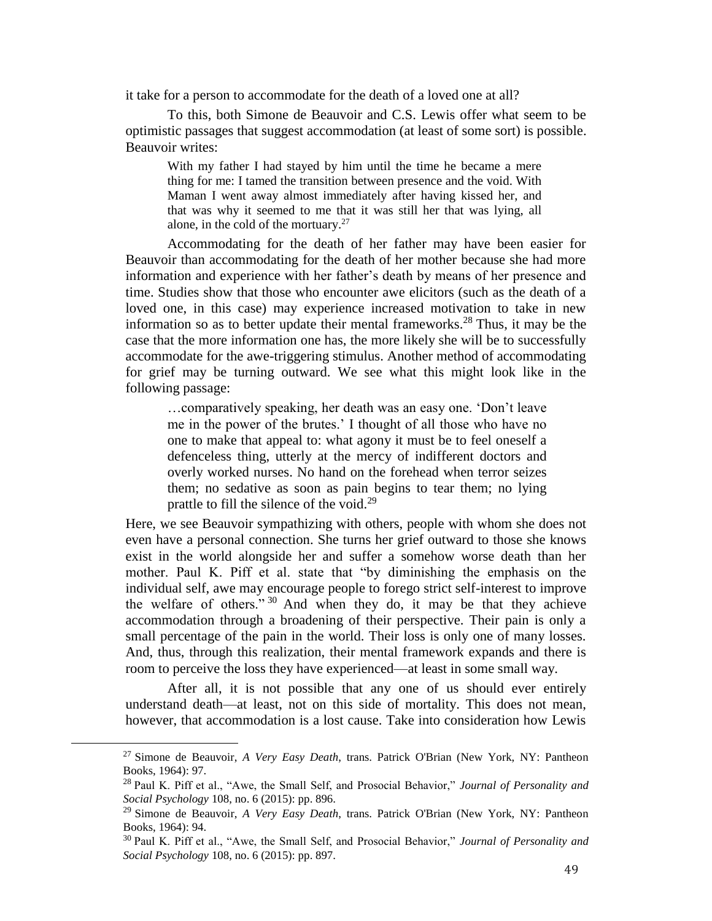it take for a person to accommodate for the death of a loved one at all?

To this, both Simone de Beauvoir and C.S. Lewis offer what seem to be optimistic passages that suggest accommodation (at least of some sort) is possible. Beauvoir writes:

With my father I had stayed by him until the time he became a mere thing for me: I tamed the transition between presence and the void. With Maman I went away almost immediately after having kissed her, and that was why it seemed to me that it was still her that was lying, all alone, in the cold of the mortuary.<sup>27</sup>

Accommodating for the death of her father may have been easier for Beauvoir than accommodating for the death of her mother because she had more information and experience with her father's death by means of her presence and time. Studies show that those who encounter awe elicitors (such as the death of a loved one, in this case) may experience increased motivation to take in new information so as to better update their mental frameworks.<sup>28</sup> Thus, it may be the case that the more information one has, the more likely she will be to successfully accommodate for the awe-triggering stimulus. Another method of accommodating for grief may be turning outward. We see what this might look like in the following passage:

…comparatively speaking, her death was an easy one. 'Don't leave me in the power of the brutes.' I thought of all those who have no one to make that appeal to: what agony it must be to feel oneself a defenceless thing, utterly at the mercy of indifferent doctors and overly worked nurses. No hand on the forehead when terror seizes them; no sedative as soon as pain begins to tear them; no lying prattle to fill the silence of the void. $^{29}$ 

Here, we see Beauvoir sympathizing with others, people with whom she does not even have a personal connection. She turns her grief outward to those she knows exist in the world alongside her and suffer a somehow worse death than her mother. Paul K. Piff et al. state that "by diminishing the emphasis on the individual self, awe may encourage people to forego strict self-interest to improve the welfare of others."  $30$  And when they do, it may be that they achieve accommodation through a broadening of their perspective. Their pain is only a small percentage of the pain in the world. Their loss is only one of many losses. And, thus, through this realization, their mental framework expands and there is room to perceive the loss they have experienced—at least in some small way.

After all, it is not possible that any one of us should ever entirely understand death—at least, not on this side of mortality. This does not mean, however, that accommodation is a lost cause. Take into consideration how Lewis

 $\overline{a}$ 

<sup>27</sup> Simone de Beauvoir, *A Very Easy Death*, trans. Patrick O'Brian (New York, NY: Pantheon Books, 1964): 97.

<sup>28</sup> Paul K. Piff et al., "Awe, the Small Self, and Prosocial Behavior," *Journal of Personality and Social Psychology* 108, no. 6 (2015): pp. 896.

<sup>29</sup> Simone de Beauvoir, *A Very Easy Death*, trans. Patrick O'Brian (New York, NY: Pantheon Books, 1964): 94.

<sup>30</sup> Paul K. Piff et al., "Awe, the Small Self, and Prosocial Behavior," *Journal of Personality and Social Psychology* 108, no. 6 (2015): pp. 897.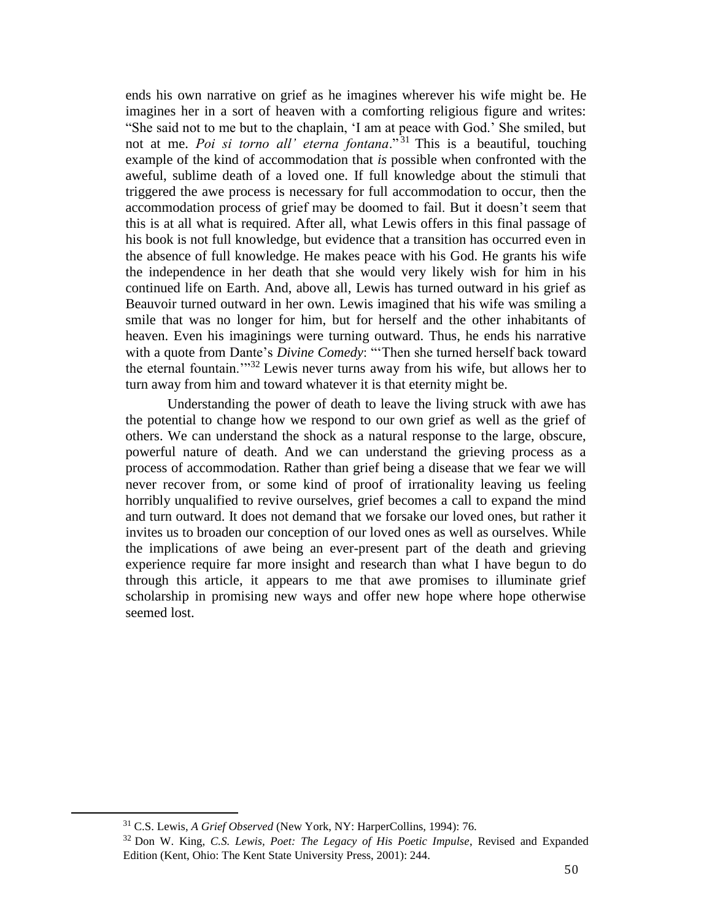ends his own narrative on grief as he imagines wherever his wife might be. He imagines her in a sort of heaven with a comforting religious figure and writes: "She said not to me but to the chaplain, 'I am at peace with God.' She smiled, but not at me. *Poi si torno all' eterna fontana*.<sup>"31</sup> This is a beautiful, touching example of the kind of accommodation that *is* possible when confronted with the aweful, sublime death of a loved one. If full knowledge about the stimuli that triggered the awe process is necessary for full accommodation to occur, then the accommodation process of grief may be doomed to fail. But it doesn't seem that this is at all what is required. After all, what Lewis offers in this final passage of his book is not full knowledge, but evidence that a transition has occurred even in the absence of full knowledge. He makes peace with his God. He grants his wife the independence in her death that she would very likely wish for him in his continued life on Earth. And, above all, Lewis has turned outward in his grief as Beauvoir turned outward in her own. Lewis imagined that his wife was smiling a smile that was no longer for him, but for herself and the other inhabitants of heaven. Even his imaginings were turning outward. Thus, he ends his narrative with a quote from Dante's *Divine Comedy*: "'Then she turned herself back toward the eternal fountain.'"<sup>32</sup> Lewis never turns away from his wife, but allows her to turn away from him and toward whatever it is that eternity might be.

Understanding the power of death to leave the living struck with awe has the potential to change how we respond to our own grief as well as the grief of others. We can understand the shock as a natural response to the large, obscure, powerful nature of death. And we can understand the grieving process as a process of accommodation. Rather than grief being a disease that we fear we will never recover from, or some kind of proof of irrationality leaving us feeling horribly unqualified to revive ourselves, grief becomes a call to expand the mind and turn outward. It does not demand that we forsake our loved ones, but rather it invites us to broaden our conception of our loved ones as well as ourselves. While the implications of awe being an ever-present part of the death and grieving experience require far more insight and research than what I have begun to do through this article, it appears to me that awe promises to illuminate grief scholarship in promising new ways and offer new hope where hope otherwise seemed lost.

<sup>31</sup> C.S. Lewis, *A Grief Observed* (New York, NY: HarperCollins, 1994): 76.

<sup>32</sup> Don W. King, *C.S. Lewis, Poet: The Legacy of His Poetic Impulse*, Revised and Expanded Edition (Kent, Ohio: The Kent State University Press, 2001): 244.